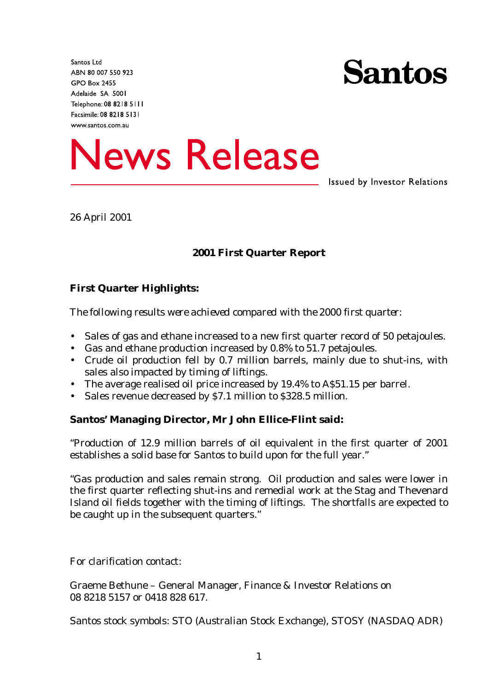Santos Ltd ABN 80 007 550 923 **GPO Box 2455** Adelaide SA 5001 Telephone: 08 8218 5111 Facsimile: 08 8218 5131 www.santos.com.au



**News Release** 

**Issued by Investor Relations** 

26 April 2001

### **2001 First Quarter Report**

### **First Quarter Highlights:**

*The following results were achieved compared with the 2000 first quarter:*

- Sales of gas and ethane increased to a new first quarter record of 50 petajoules.
- Gas and ethane production increased by 0.8% to 51.7 petajoules.
- Crude oil production fell by 0.7 million barrels, mainly due to shut-ins, with sales also impacted by timing of liftings.
- The average realised oil price increased by 19.4% to A\$51.15 per barrel.
- Sales revenue decreased by \$7.1 million to \$328.5 million.

#### **Santos' Managing Director, Mr John Ellice-Flint said:**

"Production of 12.9 million barrels of oil equivalent in the first quarter of 2001 establishes a solid base for Santos to build upon for the full year."

"Gas production and sales remain strong. Oil production and sales were lower in the first quarter reflecting shut-ins and remedial work at the Stag and Thevenard Island oil fields together with the timing of liftings. The shortfalls are expected to be caught up in the subsequent quarters."

For clarification contact:

Graeme Bethune – General Manager, Finance & Investor Relations on 08 8218 5157 or 0418 828 617.

Santos stock symbols: STO (Australian Stock Exchange), STOSY (NASDAQ ADR)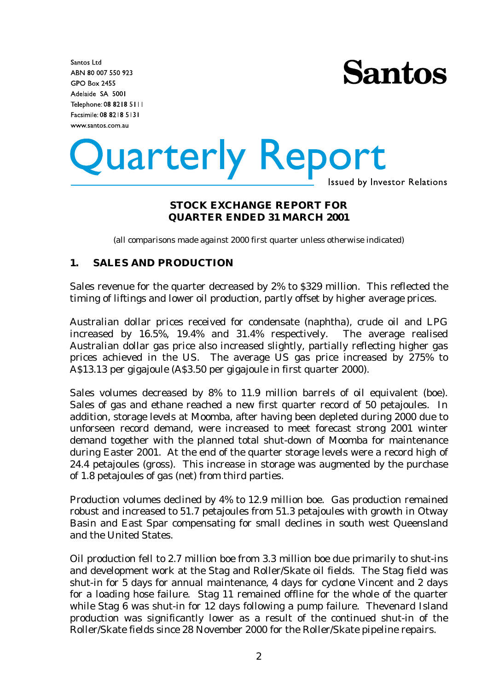Santos Ltd ABN 80 007 550 923 **GPO Box 2455** Adelaide SA 5001 Telephone: 08 8218 5111 Facsimile: 08 8218 5131 www.santos.com.au



# Quarterly Report

**Issued by Investor Relations** 

#### **STOCK EXCHANGE REPORT FOR QUARTER ENDED 31 MARCH 2001**

(all comparisons made against 2000 first quarter unless otherwise indicated)

#### **1. SALES AND PRODUCTION**

Sales revenue for the quarter decreased by 2% to \$329 million. This reflected the timing of liftings and lower oil production, partly offset by higher average prices.

Australian dollar prices received for condensate (naphtha), crude oil and LPG increased by 16.5%, 19.4% and 31.4% respectively. The average realised Australian dollar gas price also increased slightly, partially reflecting higher gas prices achieved in the US. The average US gas price increased by 275% to A\$13.13 per gigajoule (A\$3.50 per gigajoule in first quarter 2000).

Sales volumes decreased by 8% to 11.9 million barrels of oil equivalent (boe). Sales of gas and ethane reached a new first quarter record of 50 petajoules. In addition, storage levels at Moomba, after having been depleted during 2000 due to unforseen record demand, were increased to meet forecast strong 2001 winter demand together with the planned total shut-down of Moomba for maintenance during Easter 2001. At the end of the quarter storage levels were a record high of 24.4 petajoules (gross). This increase in storage was augmented by the purchase of 1.8 petajoules of gas (net) from third parties.

Production volumes declined by 4% to 12.9 million boe. Gas production remained robust and increased to 51.7 petajoules from 51.3 petajoules with growth in Otway Basin and East Spar compensating for small declines in south west Queensland and the United States.

Oil production fell to 2.7 million boe from 3.3 million boe due primarily to shut-ins and development work at the Stag and Roller/Skate oil fields. The Stag field was shut-in for 5 days for annual maintenance, 4 days for cyclone Vincent and 2 days for a loading hose failure. Stag 11 remained offline for the whole of the quarter while Stag 6 was shut-in for 12 days following a pump failure. Thevenard Island production was significantly lower as a result of the continued shut-in of the Roller/Skate fields since 28 November 2000 for the Roller/Skate pipeline repairs.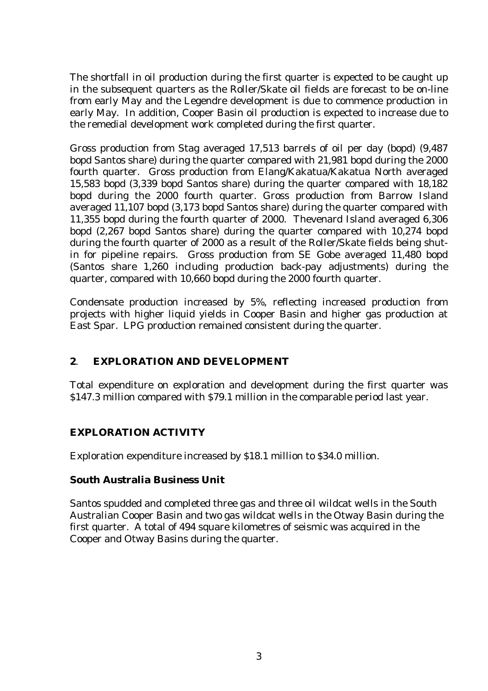The shortfall in oil production during the first quarter is expected to be caught up in the subsequent quarters as the Roller/Skate oil fields are forecast to be on-line from early May and the Legendre development is due to commence production in early May. In addition, Cooper Basin oil production is expected to increase due to the remedial development work completed during the first quarter.

Gross production from Stag averaged 17,513 barrels of oil per day (bopd) (9,487 bopd Santos share) during the quarter compared with 21,981 bopd during the 2000 fourth quarter. Gross production from Elang/Kakatua/Kakatua North averaged 15,583 bopd (3,339 bopd Santos share) during the quarter compared with 18,182 bopd during the 2000 fourth quarter. Gross production from Barrow Island averaged 11,107 bopd (3,173 bopd Santos share) during the quarter compared with 11,355 bopd during the fourth quarter of 2000. Thevenard Island averaged 6,306 bopd (2,267 bopd Santos share) during the quarter compared with 10,274 bopd during the fourth quarter of 2000 as a result of the Roller/Skate fields being shutin for pipeline repairs. Gross production from SE Gobe averaged 11,480 bopd (Santos share 1,260 including production back-pay adjustments) during the quarter, compared with 10,660 bopd during the 2000 fourth quarter.

Condensate production increased by 5%, reflecting increased production from projects with higher liquid yields in Cooper Basin and higher gas production at East Spar. LPG production remained consistent during the quarter.

# **2**. **EXPLORATION AND DEVELOPMENT**

Total expenditure on exploration and development during the first quarter was \$147.3 million compared with \$79.1 million in the comparable period last year.

# *EXPLORATION ACTIVITY*

Exploration expenditure increased by \$18.1 million to \$34.0 million.

# **South Australia Business Unit**

Santos spudded and completed three gas and three oil wildcat wells in the South Australian Cooper Basin and two gas wildcat wells in the Otway Basin during the first quarter. A total of 494 square kilometres of seismic was acquired in the Cooper and Otway Basins during the quarter.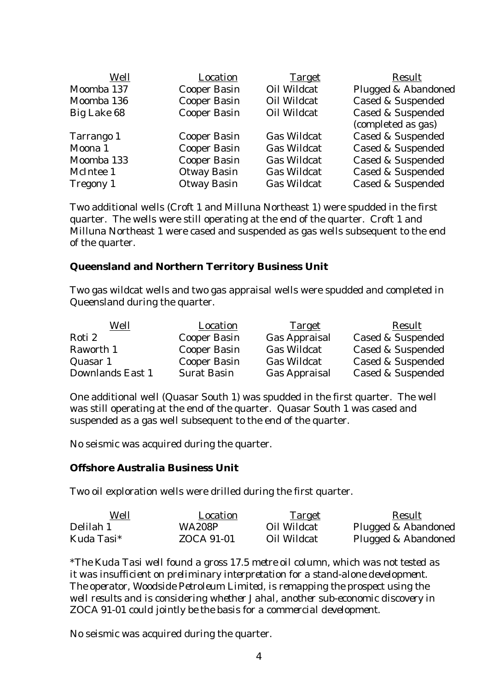| Well             | Location            | <b>Target</b>      | Result                       |
|------------------|---------------------|--------------------|------------------------------|
| Moomba 137       | <b>Cooper Basin</b> | Oil Wildcat        | Plugged & Abandoned          |
| Moomba 136       | <b>Cooper Basin</b> | <b>Oil Wildcat</b> | <b>Cased &amp; Suspended</b> |
| Big Lake 68      | <b>Cooper Basin</b> | Oil Wildcat        | <b>Cased &amp; Suspended</b> |
|                  |                     |                    | (completed as gas)           |
| Tarrango 1       | <b>Cooper Basin</b> | <b>Gas Wildcat</b> | <b>Cased &amp; Suspended</b> |
| Moona 1          | <b>Cooper Basin</b> | <b>Gas Wildcat</b> | <b>Cased &amp; Suspended</b> |
| Moomba 133       | <b>Cooper Basin</b> | <b>Gas Wildcat</b> | <b>Cased &amp; Suspended</b> |
| McIntee 1        | <b>Otway Basin</b>  | <b>Gas Wildcat</b> | <b>Cased &amp; Suspended</b> |
| <b>Tregony 1</b> | <b>Otway Basin</b>  | <b>Gas Wildcat</b> | <b>Cased &amp; Suspended</b> |

Two additional wells (Croft 1 and Milluna Northeast 1) were spudded in the first quarter. The wells were still operating at the end of the quarter. Croft 1 and Milluna Northeast 1 were cased and suspended as gas wells subsequent to the end of the quarter.

#### **Queensland and Northern Territory Business Unit**

Two gas wildcat wells and two gas appraisal wells were spudded and completed in Queensland during the quarter.

| Well             | <b>Location</b>     | <b>Target</b>        | Result            |
|------------------|---------------------|----------------------|-------------------|
| Roti 2           | <b>Cooper Basin</b> | <b>Gas Appraisal</b> | Cased & Suspended |
| Raworth 1        | <b>Cooper Basin</b> | <b>Gas Wildcat</b>   | Cased & Suspended |
| Quasar 1         | <b>Cooper Basin</b> | <b>Gas Wildcat</b>   | Cased & Suspended |
| Downlands East 1 | <b>Surat Basin</b>  | <b>Gas Appraisal</b> | Cased & Suspended |

One additional well (Quasar South 1) was spudded in the first quarter. The well was still operating at the end of the quarter. Quasar South 1 was cased and suspended as a gas well subsequent to the end of the quarter.

No seismic was acquired during the quarter.

#### **Offshore Australia Business Unit**

Two oil exploration wells were drilled during the first quarter.

| Well       | Location      | <u>Target</u> | Result              |
|------------|---------------|---------------|---------------------|
| Delilah 1  | <b>WA208P</b> | Oil Wildcat   | Plugged & Abandoned |
| Kuda Tasi* | ZOCA 91-01    | Oil Wildcat   | Plugged & Abandoned |

*\*The Kuda Tasi well found a gross 17.5 metre oil column, which was not tested as it was insufficient on preliminary interpretation for a stand-alone development. The operator, Woodside Petroleum Limited, is remapping the prospect using the well results and is considering whether Jahal, another sub-economic discovery in ZOCA 91-01 could jointly be the basis for a commercial development.*

No seismic was acquired during the quarter.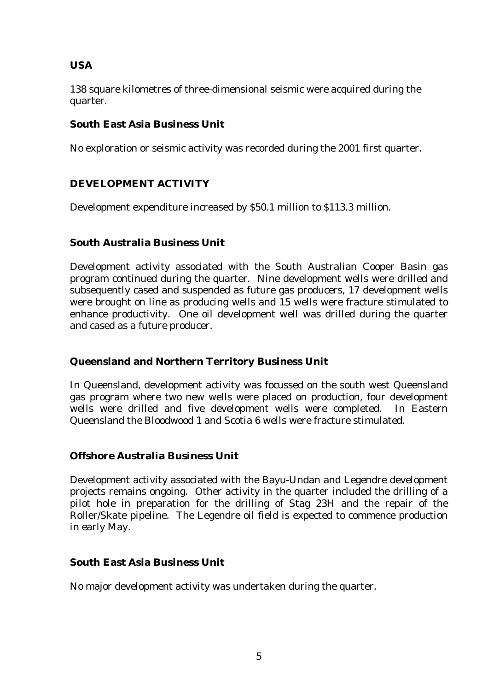# **USA**

138 square kilometres of three-dimensional seismic were acquired during the quarter.

# **South East Asia Business Unit**

No exploration or seismic activity was recorded during the 2001 first quarter.

# *DEVELOPMENT ACTIVITY*

Development expenditure increased by \$50.1 million to \$113.3 million.

# **South Australia Business Unit**

Development activity associated with the South Australian Cooper Basin gas program continued during the quarter. Nine development wells were drilled and subsequently cased and suspended as future gas producers, 17 development wells were brought on line as producing wells and 15 wells were fracture stimulated to enhance productivity. One oil development well was drilled during the quarter and cased as a future producer.

# **Queensland and Northern Territory Business Unit**

In Queensland, development activity was focussed on the south west Queensland gas program where two new wells were placed on production, four development wells were drilled and five development wells were completed. In Eastern Queensland the Bloodwood 1 and Scotia 6 wells were fracture stimulated.

# **Offshore Australia Business Unit**

Development activity associated with the Bayu-Undan and Legendre development projects remains ongoing. Other activity in the quarter included the drilling of a pilot hole in preparation for the drilling of Stag 23H and the repair of the Roller/Skate pipeline. The Legendre oil field is expected to commence production in early May.

# **South East Asia Business Unit**

No major development activity was undertaken during the quarter.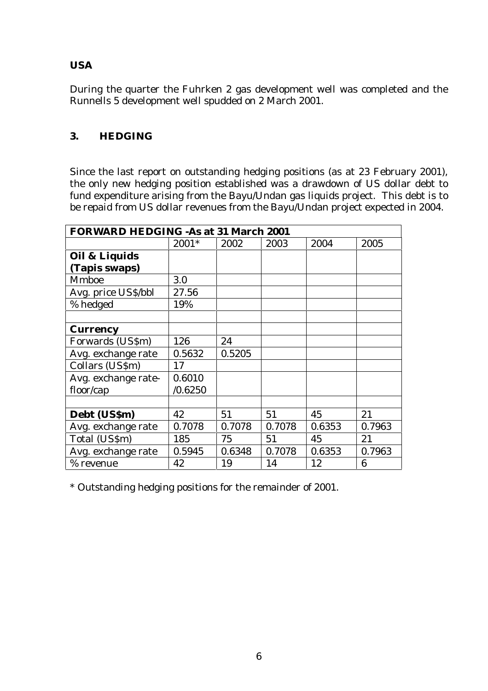# **USA**

During the quarter the Fuhrken 2 gas development well was completed and the Runnells 5 development well spudded on 2 March 2001.

# **3. HEDGING**

Since the last report on outstanding hedging positions (as at 23 February 2001), the only new hedging position established was a drawdown of US dollar debt to fund expenditure arising from the Bayu/Undan gas liquids project. This debt is to be repaid from US dollar revenues from the Bayu/Undan project expected in 2004.

| <b>FORWARD HEDGING -As at 31 March 2001</b> |         |        |        |        |        |  |
|---------------------------------------------|---------|--------|--------|--------|--------|--|
|                                             | $2001*$ | 2002   | 2003   | 2004   | 2005   |  |
| Oil & Liquids                               |         |        |        |        |        |  |
| (Tapis swaps)                               |         |        |        |        |        |  |
| <b>Mmboe</b>                                | 3.0     |        |        |        |        |  |
| Avg. price US\$/bbl                         | 27.56   |        |        |        |        |  |
| % hedged                                    | 19%     |        |        |        |        |  |
|                                             |         |        |        |        |        |  |
| <b>Currency</b>                             |         |        |        |        |        |  |
| Forwards (US\$m)                            | 126     | 24     |        |        |        |  |
| Avg. exchange rate                          | 0.5632  | 0.5205 |        |        |        |  |
| Collars (US\$m)                             | 17      |        |        |        |        |  |
| Avg. exchange rate-                         | 0.6010  |        |        |        |        |  |
| floor/cap                                   | /0.6250 |        |        |        |        |  |
|                                             |         |        |        |        |        |  |
| Debt (US\$m)                                | 42      | 51     | 51     | 45     | 21     |  |
| Avg. exchange rate                          | 0.7078  | 0.7078 | 0.7078 | 0.6353 | 0.7963 |  |
| Total (US\$m)                               | 185     | 75     | 51     | 45     | 21     |  |
| Avg. exchange rate                          | 0.5945  | 0.6348 | 0.7078 | 0.6353 | 0.7963 |  |
| % revenue                                   | 42      | 19     | 14     | 12     | 6      |  |

\* Outstanding hedging positions for the remainder of 2001.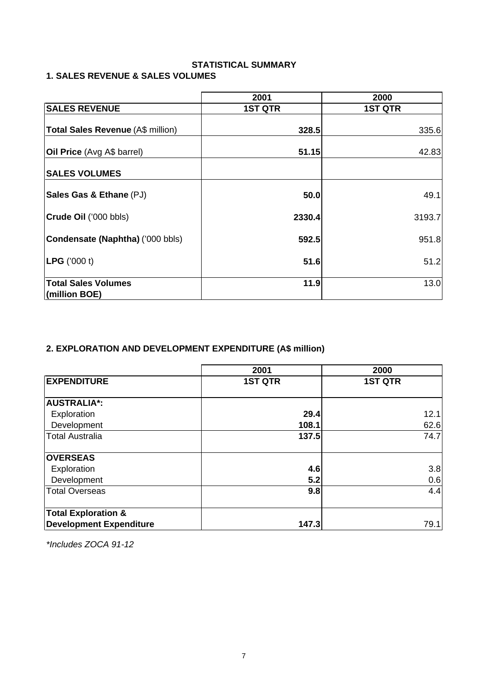# **STATISTICAL SUMMARY**

# **1. SALES REVENUE & SALES VOLUMES**

|                                   | 2001           | 2000           |  |  |
|-----------------------------------|----------------|----------------|--|--|
| <b>SALES REVENUE</b>              | <b>1ST QTR</b> | <b>1ST QTR</b> |  |  |
|                                   |                |                |  |  |
| Total Sales Revenue (A\$ million) | 328.5          | 335.6          |  |  |
|                                   |                |                |  |  |
| Oil Price (Avg A\$ barrel)        | 51.15          | 42.83          |  |  |
| <b>SALES VOLUMES</b>              |                |                |  |  |
| Sales Gas & Ethane (PJ)           | 50.0           | 49.1           |  |  |
|                                   |                |                |  |  |
| Crude Oil ('000 bbls)             | 2330.4         | 3193.7         |  |  |
| Condensate (Naphtha) ('000 bbls)  | 592.5          | 951.8          |  |  |
| <b>LPG</b> ('000 t)               | 51.6           | 51.2           |  |  |
| <b>Total Sales Volumes</b>        | 11.9           | 13.0           |  |  |
| (million BOE)                     |                |                |  |  |

# **2. EXPLORATION AND DEVELOPMENT EXPENDITURE (A\$ million)**

|                                | 2001           | 2000           |
|--------------------------------|----------------|----------------|
| <b>EXPENDITURE</b>             | <b>1ST QTR</b> | <b>1ST QTR</b> |
| <b>AUSTRALIA*:</b>             |                |                |
| Exploration                    | 29.4           | 12.1           |
| Development                    | 108.1          | 62.6           |
| <b>Total Australia</b>         | 137.5          | 74.7           |
| <b>OVERSEAS</b>                |                |                |
| Exploration                    | 4.6            | 3.8            |
| Development                    | 5.2            | 0.6            |
| <b>Total Overseas</b>          | 9.8            | 4.4            |
| <b>Total Exploration &amp;</b> |                |                |
| <b>Development Expenditure</b> | 147.3          | 79.1           |

\*Includes ZOCA 91-12